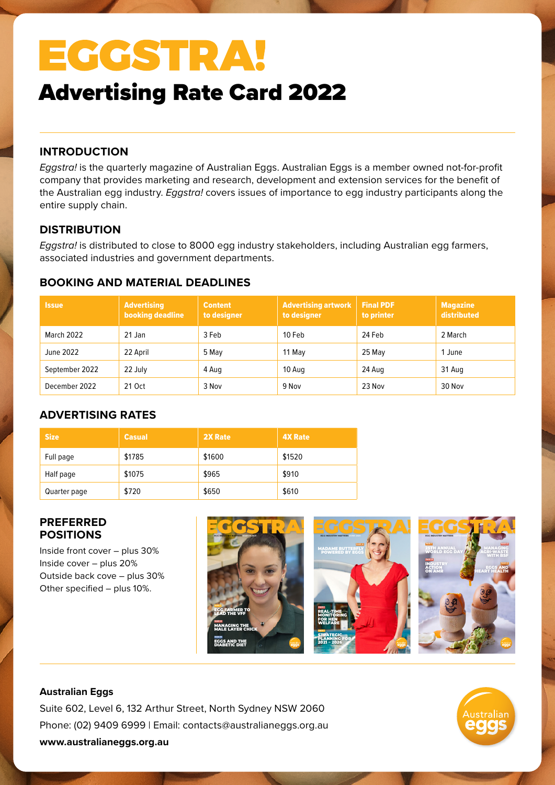# EGGSTRA!

# Advertising Rate Card 2022

## **INTRODUCTION**

*Eggstra!* is the quarterly magazine of Australian Eggs. Australian Eggs is a member owned not-for-profit company that provides marketing and research, development and extension services for the benefit of the Australian egg industry. *Eggstra!* covers issues of importance to egg industry participants along the entire supply chain.

### **DISTRIBUTION**

*Eggstra!* is distributed to close to 8000 egg industry stakeholders, including Australian egg farmers, associated industries and government departments.

## **BOOKING AND MATERIAL DEADLINES**

| <b>Issue</b>   | <b>Advertising</b><br>booking deadline | <b>Content</b><br>to designer | <b>Advertising artwork</b><br>to designer | <b>Final PDF</b><br>to printer | <b>Magazine</b><br>distributed |
|----------------|----------------------------------------|-------------------------------|-------------------------------------------|--------------------------------|--------------------------------|
| March 2022     | 21 Jan                                 | 3 Feb                         | 10 Feb                                    | 24 Feb                         | 2 March                        |
| June 2022      | 22 April                               | 5 May                         | 11 May                                    | 25 May                         | 1 June                         |
| September 2022 | 22 July                                | 4 Aug                         | 10 Aug                                    | 24 Aug                         | 31 Aug                         |
| December 2022  | 21 Oct                                 | 3 Nov                         | 9 Nov                                     | 23 Nov                         | 30 Nov                         |

# **ADVERTISING RATES**

| <b>Size</b>  | <b>Casual</b> | 2X Rate | <b>4X Rate</b> |
|--------------|---------------|---------|----------------|
| Full page    | \$1785        | \$1600  | \$1520         |
| Half page    | \$1075        | \$965   | \$910          |
| Quarter page | \$720         | \$650   | \$610          |

### **PREFERRED POSITIONS**

Inside front cover – plus 30% Inside cover – plus 20% Outside back cove – plus 30% Other specified – plus 10%.



### **Australian Eggs**

Suite 602, Level 6, 132 Arthur Street, North Sydney NSW 2060 Phone: (02) 9409 6999 | Email: contacts@australianeggs.org.au **www.australianeggs.org.au**